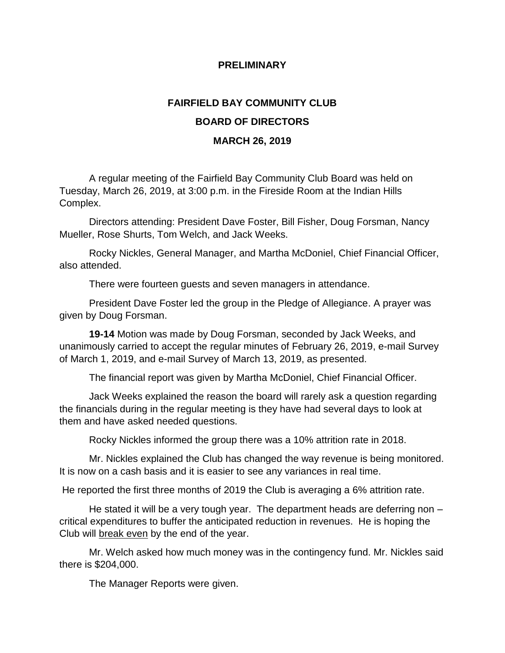## **PRELIMINARY**

## **FAIRFIELD BAY COMMUNITY CLUB BOARD OF DIRECTORS MARCH 26, 2019**

A regular meeting of the Fairfield Bay Community Club Board was held on Tuesday, March 26, 2019, at 3:00 p.m. in the Fireside Room at the Indian Hills Complex.

Directors attending: President Dave Foster, Bill Fisher, Doug Forsman, Nancy Mueller, Rose Shurts, Tom Welch, and Jack Weeks.

Rocky Nickles, General Manager, and Martha McDoniel, Chief Financial Officer, also attended.

There were fourteen guests and seven managers in attendance.

President Dave Foster led the group in the Pledge of Allegiance. A prayer was given by Doug Forsman.

**19-14** Motion was made by Doug Forsman, seconded by Jack Weeks, and unanimously carried to accept the regular minutes of February 26, 2019, e-mail Survey of March 1, 2019, and e-mail Survey of March 13, 2019, as presented.

The financial report was given by Martha McDoniel, Chief Financial Officer.

Jack Weeks explained the reason the board will rarely ask a question regarding the financials during in the regular meeting is they have had several days to look at them and have asked needed questions.

Rocky Nickles informed the group there was a 10% attrition rate in 2018.

Mr. Nickles explained the Club has changed the way revenue is being monitored. It is now on a cash basis and it is easier to see any variances in real time.

He reported the first three months of 2019 the Club is averaging a 6% attrition rate.

He stated it will be a very tough year. The department heads are deferring non critical expenditures to buffer the anticipated reduction in revenues. He is hoping the Club will break even by the end of the year.

Mr. Welch asked how much money was in the contingency fund. Mr. Nickles said there is \$204,000.

The Manager Reports were given.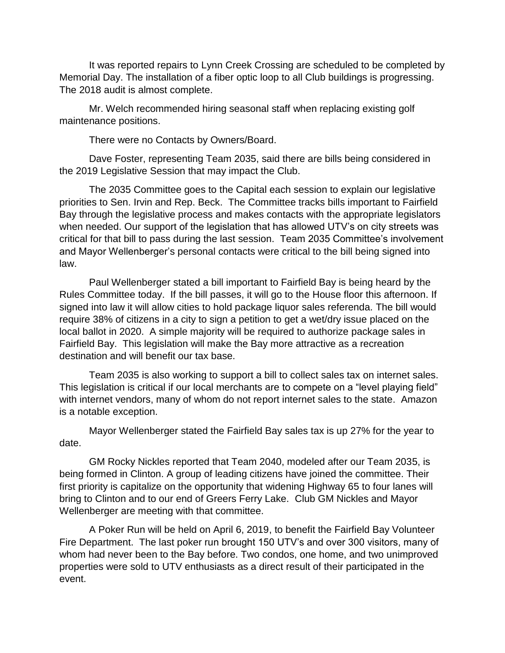It was reported repairs to Lynn Creek Crossing are scheduled to be completed by Memorial Day. The installation of a fiber optic loop to all Club buildings is progressing. The 2018 audit is almost complete.

Mr. Welch recommended hiring seasonal staff when replacing existing golf maintenance positions.

There were no Contacts by Owners/Board.

Dave Foster, representing Team 2035, said there are bills being considered in the 2019 Legislative Session that may impact the Club.

The 2035 Committee goes to the Capital each session to explain our legislative priorities to Sen. Irvin and Rep. Beck. The Committee tracks bills important to Fairfield Bay through the legislative process and makes contacts with the appropriate legislators when needed. Our support of the legislation that has allowed UTV's on city streets was critical for that bill to pass during the last session. Team 2035 Committee's involvement and Mayor Wellenberger's personal contacts were critical to the bill being signed into law.

Paul Wellenberger stated a bill important to Fairfield Bay is being heard by the Rules Committee today. If the bill passes, it will go to the House floor this afternoon. If signed into law it will allow cities to hold package liquor sales referenda. The bill would require 38% of citizens in a city to sign a petition to get a wet/dry issue placed on the local ballot in 2020. A simple majority will be required to authorize package sales in Fairfield Bay. This legislation will make the Bay more attractive as a recreation destination and will benefit our tax base.

Team 2035 is also working to support a bill to collect sales tax on internet sales. This legislation is critical if our local merchants are to compete on a "level playing field" with internet vendors, many of whom do not report internet sales to the state. Amazon is a notable exception.

Mayor Wellenberger stated the Fairfield Bay sales tax is up 27% for the year to date.

GM Rocky Nickles reported that Team 2040, modeled after our Team 2035, is being formed in Clinton. A group of leading citizens have joined the committee. Their first priority is capitalize on the opportunity that widening Highway 65 to four lanes will bring to Clinton and to our end of Greers Ferry Lake. Club GM Nickles and Mayor Wellenberger are meeting with that committee.

A Poker Run will be held on April 6, 2019, to benefit the Fairfield Bay Volunteer Fire Department. The last poker run brought 150 UTV's and over 300 visitors, many of whom had never been to the Bay before. Two condos, one home, and two unimproved properties were sold to UTV enthusiasts as a direct result of their participated in the event.